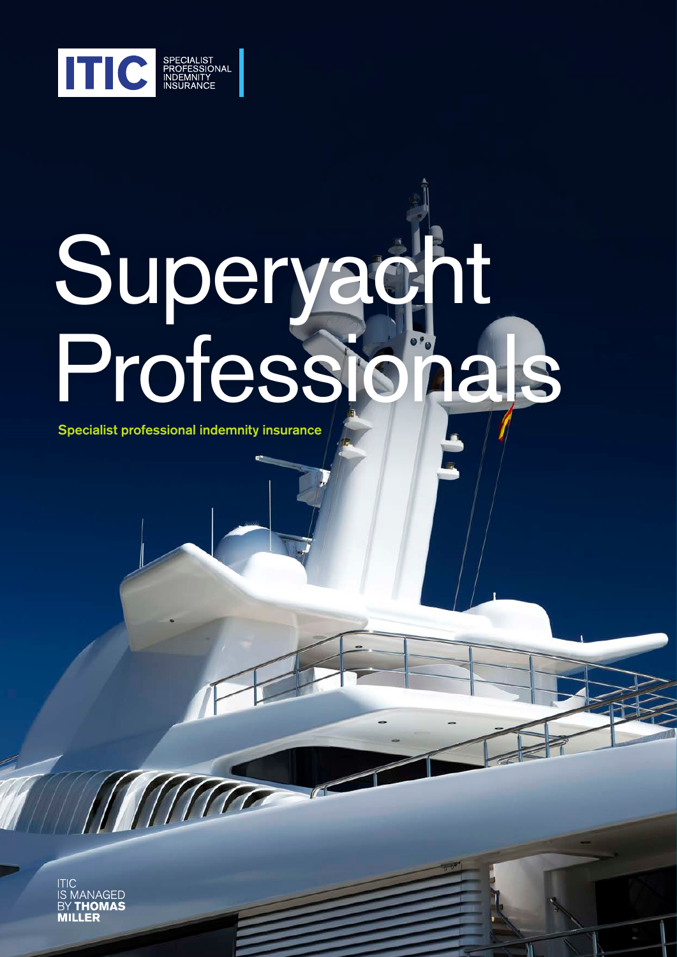

# Superyacht Professionals

Specialist professional indemnity insurance

ITIC<br>IS MANAGED<br>BY **THOMAS**<br>**MILLER**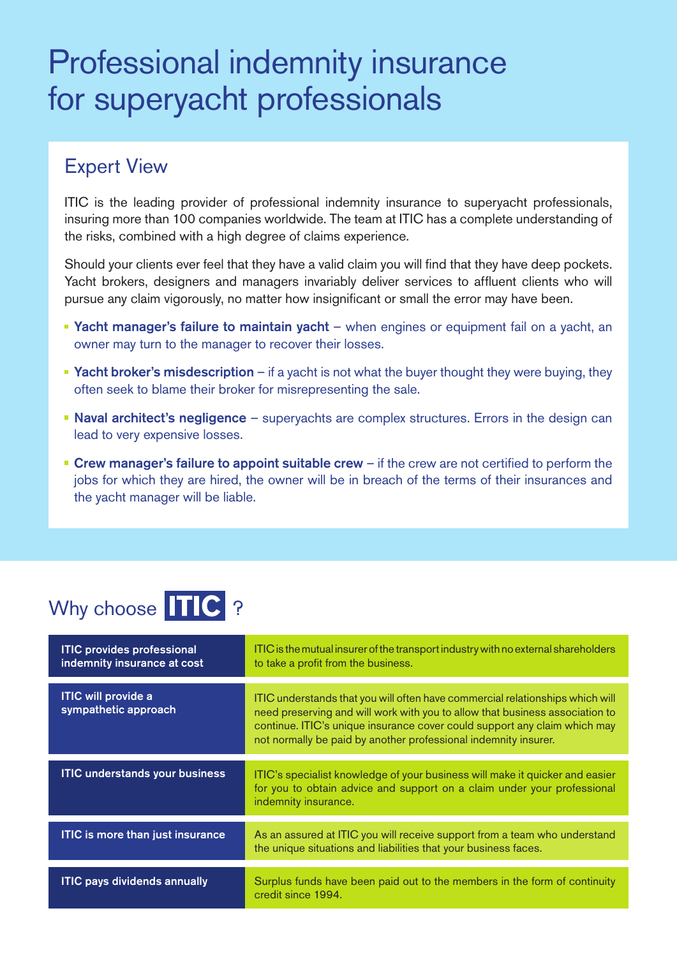# Professional indemnity insurance for superyacht professionals

#### Expert View

ITIC is the leading provider of professional indemnity insurance to superyacht professionals, insuring more than 100 companies worldwide. The team at ITIC has a complete understanding of the risks, combined with a high degree of claims experience.

Should your clients ever feel that they have a valid claim you will find that they have deep pockets. Yacht brokers, designers and managers invariably deliver services to affluent clients who will pursue any claim vigorously, no matter how insignificant or small the error may have been.

- **Yacht manager's failure to maintain yacht** when engines or equipment fail on a yacht, an owner may turn to the manager to recover their losses.
- **Yacht broker's misdescription** if a yacht is not what the buyer thought they were buying, they often seek to blame their broker for misrepresenting the sale.
- Naval architect's negligence superyachts are complex structures. Errors in the design can lead to very expensive losses.
- **Crew manager's failure to appoint suitable crew** if the crew are not certified to perform the jobs for which they are hired, the owner will be in breach of the terms of their insurances and the yacht manager will be liable.

## Why choose TIC ?

| <b>ITIC provides professional</b><br>indemnity insurance at cost | ITIC is the mutual insurer of the transport industry with no external shareholders<br>to take a profit from the business.                                                                                                                                                                                     |
|------------------------------------------------------------------|---------------------------------------------------------------------------------------------------------------------------------------------------------------------------------------------------------------------------------------------------------------------------------------------------------------|
| <b>ITIC will provide a</b><br>sympathetic approach               | ITIC understands that you will often have commercial relationships which will<br>need preserving and will work with you to allow that business association to<br>continue. ITIC's unique insurance cover could support any claim which may<br>not normally be paid by another professional indemnity insurer. |
| <b>ITIC understands your business</b>                            | ITIC's specialist knowledge of your business will make it quicker and easier<br>for you to obtain advice and support on a claim under your professional<br>indemnity insurance.                                                                                                                               |
| <b>ITIC is more than just insurance</b>                          | As an assured at ITIC you will receive support from a team who understand<br>the unique situations and liabilities that your business faces.                                                                                                                                                                  |
| <b>ITIC pays dividends annually</b>                              | Surplus funds have been paid out to the members in the form of continuity<br>credit since 1994.                                                                                                                                                                                                               |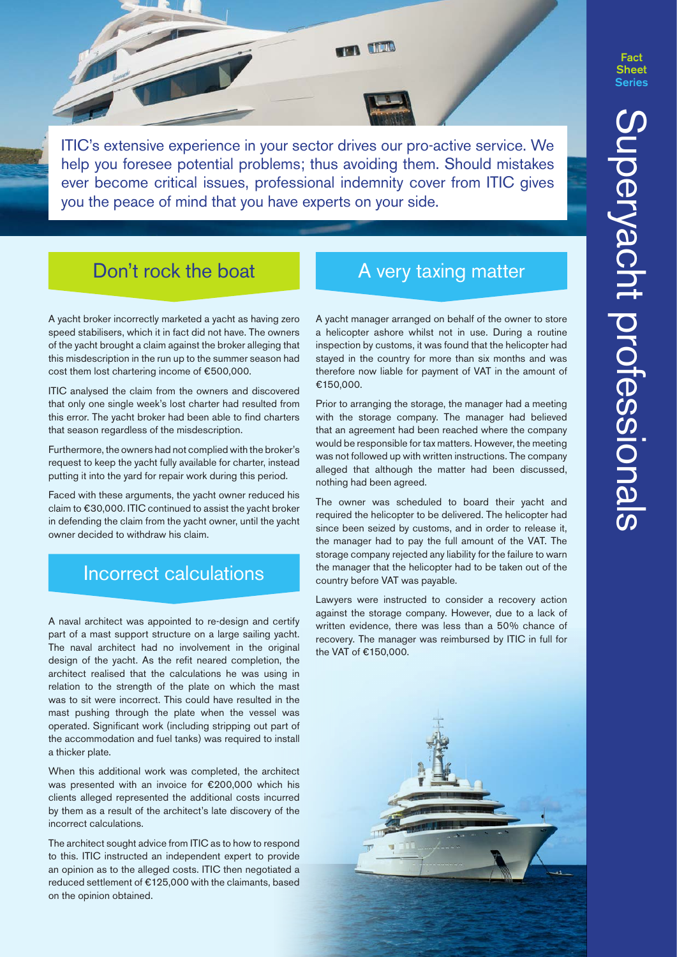ITIC's extensive experience in your sector drives our pro-active service. We help you foresee potential problems; thus avoiding them. Should mistakes ever become critical issues, professional indemnity cover from ITIC gives you the peace of mind that you have experts on your side.

**TACK** 

#### Don't rock the boat A very taxing matter

A yacht broker incorrectly marketed a yacht as having zero speed stabilisers, which it in fact did not have. The owners of the yacht brought a claim against the broker alleging that this misdescription in the run up to the summer season had cost them lost chartering income of €500,000.

ITIC analysed the claim from the owners and discovered that only one single week's lost charter had resulted from this error. The yacht broker had been able to find charters that season regardless of the misdescription.

Furthermore, the owners had not complied with the broker's request to keep the yacht fully available for charter, instead putting it into the yard for repair work during this period.

Faced with these arguments, the yacht owner reduced his claim to €30,000. ITIC continued to assist the yacht broker in defending the claim from the yacht owner, until the yacht owner decided to withdraw his claim.

#### Incorrect calculations

A naval architect was appointed to re-design and certify part of a mast support structure on a large sailing yacht. The naval architect had no involvement in the original design of the yacht. As the refit neared completion, the architect realised that the calculations he was using in relation to the strength of the plate on which the mast was to sit were incorrect. This could have resulted in the mast pushing through the plate when the vessel was operated. Significant work (including stripping out part of the accommodation and fuel tanks) was required to install a thicker plate.

When this additional work was completed, the architect was presented with an invoice for €200,000 which his clients alleged represented the additional costs incurred by them as a result of the architect's late discovery of the incorrect calculations.

The architect sought advice from ITIC as to how to respond to this. ITIC instructed an independent expert to provide an opinion as to the alleged costs. ITIC then negotiated a reduced settlement of €125,000 with the claimants, based on the opinion obtained.

A yacht manager arranged on behalf of the owner to store a helicopter ashore whilst not in use. During a routine inspection by customs, it was found that the helicopter had stayed in the country for more than six months and was therefore now liable for payment of VAT in the amount of €150,000.

Prior to arranging the storage, the manager had a meeting with the storage company. The manager had believed that an agreement had been reached where the company would be responsible for tax matters. However, the meeting was not followed up with written instructions. The company alleged that although the matter had been discussed, nothing had been agreed.

The owner was scheduled to board their yacht and required the helicopter to be delivered. The helicopter had since been seized by customs, and in order to release it, the manager had to pay the full amount of the VAT. The storage company rejected any liability for the failure to warn the manager that the helicopter had to be taken out of the country before VAT was payable.

Lawyers were instructed to consider a recovery action against the storage company. However, due to a lack of written evidence, there was less than a 50% chance of recovery. The manager was reimbursed by ITIC in full for the VAT of €150,000.